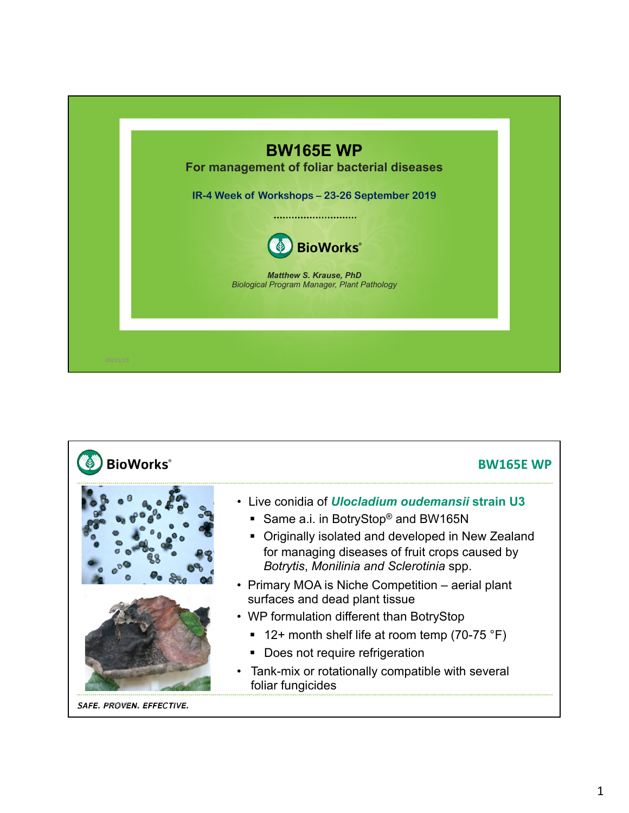

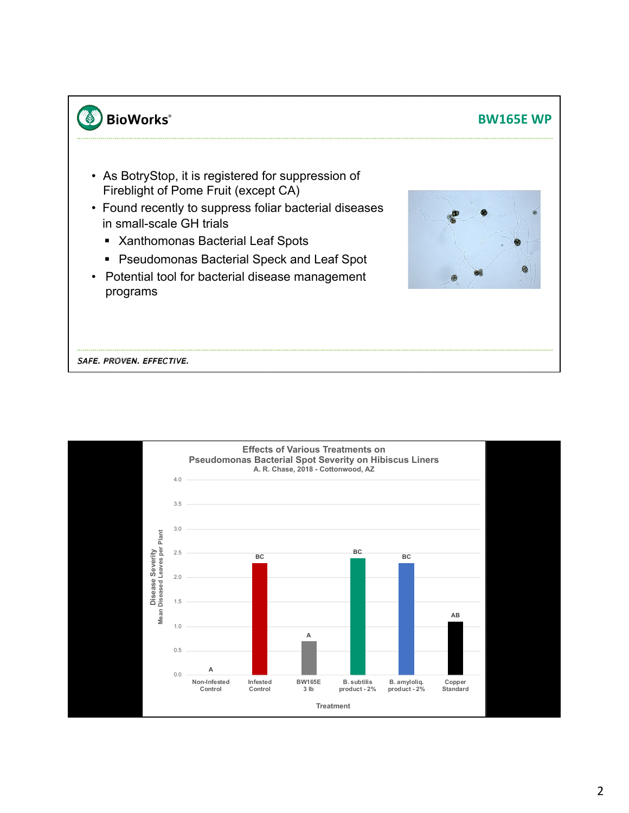## **BW165E WP**

- As BotryStop, it is registered for suppression of Fireblight of Pome Fruit (except CA)
- Found recently to suppress foliar bacterial diseases in small-scale GH trials
	- § Xanthomonas Bacterial Leaf Spots
	- Pseudomonas Bacterial Speck and Leaf Spot
- Potential tool for bacterial disease management programs



SAFE. PROVEN. EFFECTIVE.

**BioWorks**®

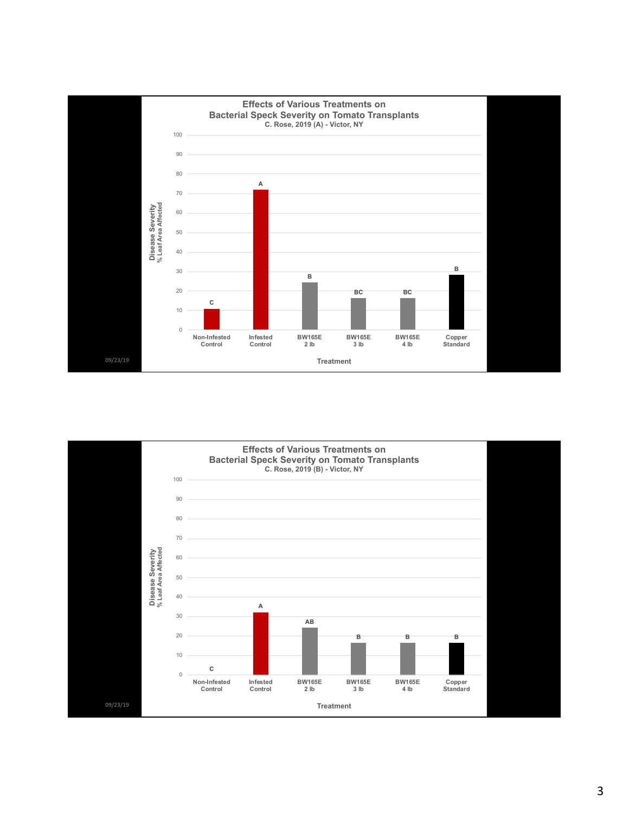

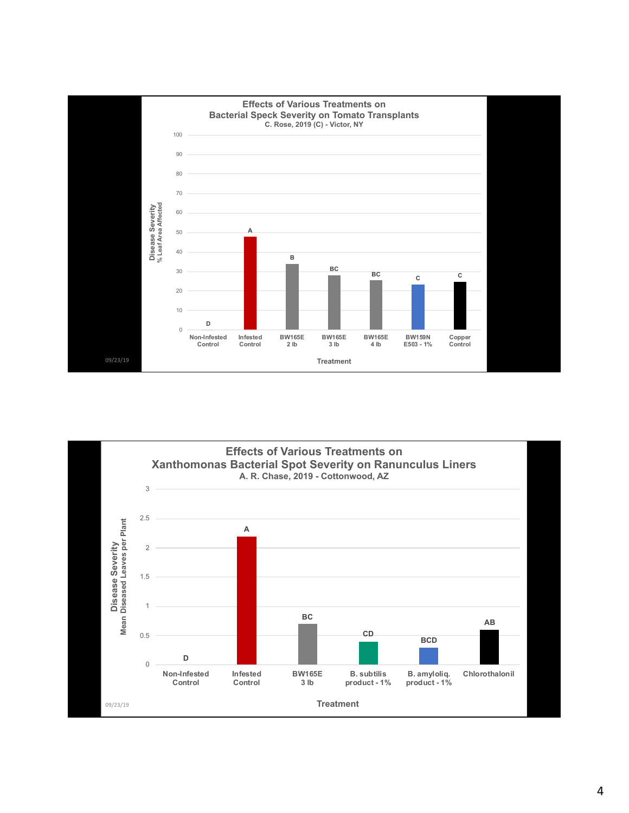

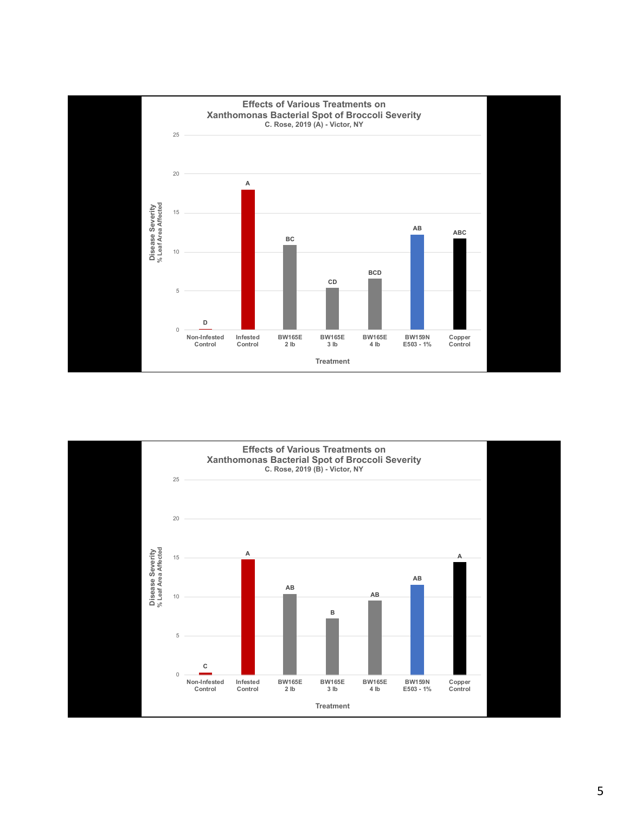